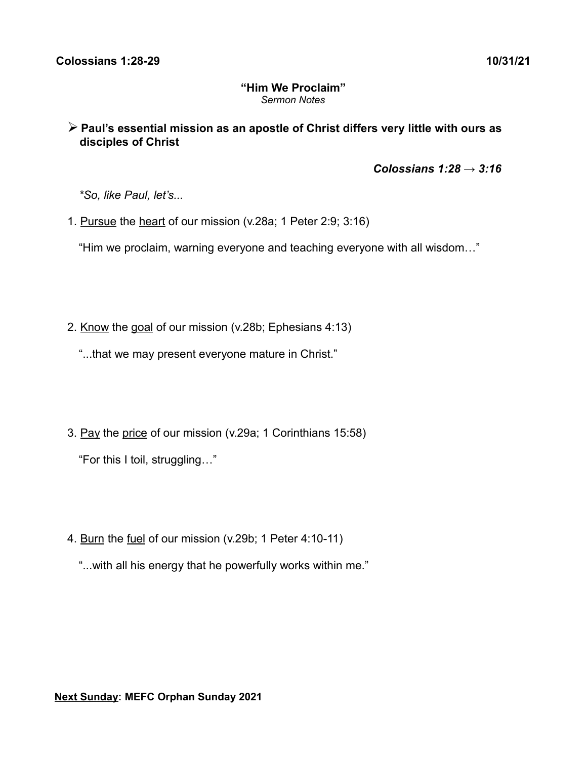## **"Him We Proclaim"** *Sermon Notes*

➢ **Paul's essential mission as an apostle of Christ differs very little with ours as disciples of Christ**

 *Colossians 1:28 → 3:16*

*\*So, like Paul, let's...*

1. Pursue the heart of our mission (v.28a; 1 Peter 2:9; 3:16)

"Him we proclaim, warning everyone and teaching everyone with all wisdom…"

- 2. Know the goal of our mission (v.28b; Ephesians 4:13)
	- "...that we may present everyone mature in Christ."
- 3. Pay the price of our mission (v.29a; 1 Corinthians 15:58)

"For this I toil, struggling…"

- 4. Burn the fuel of our mission (v.29b; 1 Peter 4:10-11)
	- "...with all his energy that he powerfully works within me."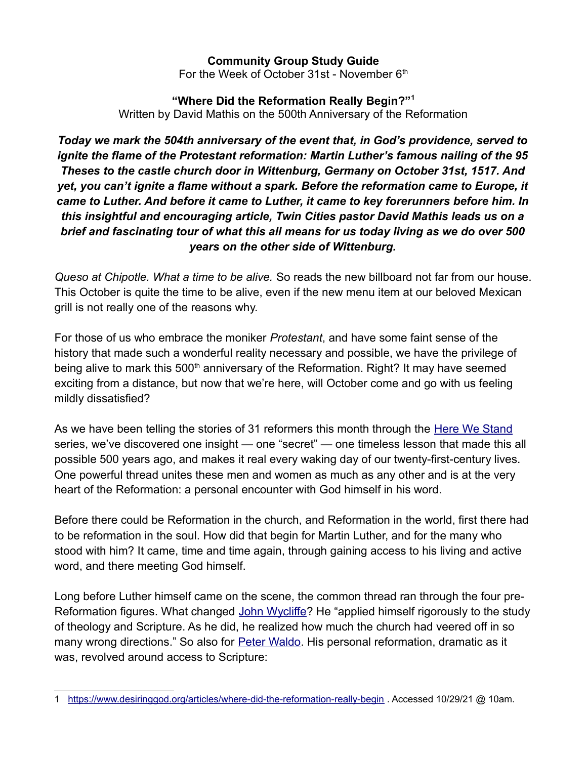## **Community Group Study Guide**

For the Week of October 31st - November  $6<sup>th</sup>$ 

## **"Where Did the Reformation Really Begin?"[1](#page-1-0)** Written by David Mathis on the 500th Anniversary of the Reformation

*Today we mark the 504th anniversary of the event that, in God's providence, served to ignite the flame of the Protestant reformation: Martin Luther's famous nailing of the 95 Theses to the castle church door in Wittenburg, Germany on October 31st, 1517. And yet, you can't ignite a flame without a spark. Before the reformation came to Europe, it came to Luther. And before it came to Luther, it came to key forerunners before him. In this insightful and encouraging article, Twin Cities pastor David Mathis leads us on a brief and fascinating tour of what this all means for us today living as we do over 500 years on the other side of Wittenburg.*

*Queso at Chipotle. What a time to be alive.* So reads the new billboard not far from our house. This October is quite the time to be alive, even if the new menu item at our beloved Mexican grill is not really one of the reasons why.

For those of us who embrace the moniker *Protestant*, and have some faint sense of the history that made such a wonderful reality necessary and possible, we have the privilege of being alive to mark this 500<sup>th</sup> anniversary of the Reformation. Right? It may have seemed exciting from a distance, but now that we're here, will October come and go with us feeling mildly dissatisfied?

As we have been telling the stories of 31 reformers this month through the [Here We Stand](https://www.desiringgod.org/here-we-stand) series, we've discovered one insight — one "secret" — one timeless lesson that made this all possible 500 years ago, and makes it real every waking day of our twenty-first-century lives. One powerful thread unites these men and women as much as any other and is at the very heart of the Reformation: a personal encounter with God himself in his word.

Before there could be Reformation in the church, and Reformation in the world, first there had to be reformation in the soul. How did that begin for Martin Luther, and for the many who stood with him? It came, time and time again, through gaining access to his living and active word, and there meeting God himself.

Long before Luther himself came on the scene, the common thread ran through the four pre-Reformation figures. What changed [John Wycliffe?](https://www.desiringgod.org/articles/the-morning-star-of-the-reformation) He "applied himself rigorously to the study of theology and Scripture. As he did, he realized how much the church had veered off in so many wrong directions." So also for **Peter Waldo**. His personal reformation, dramatic as it was, revolved around access to Scripture:

<span id="page-1-0"></span><sup>1</sup> <https://www.desiringgod.org/articles/where-did-the-reformation-really-begin>. Accessed 10/29/21 @ 10am.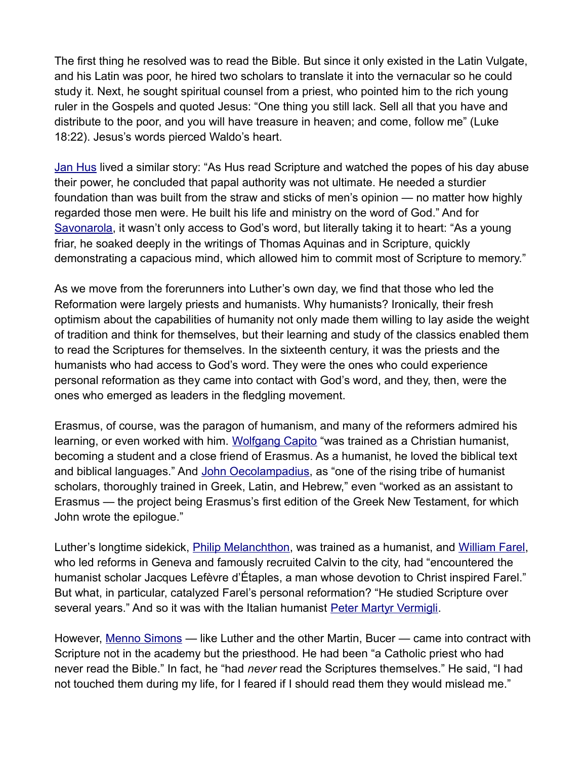The first thing he resolved was to read the Bible. But since it only existed in the Latin Vulgate, and his Latin was poor, he hired two scholars to translate it into the vernacular so he could study it. Next, he sought spiritual counsel from a priest, who pointed him to the rich young ruler in the Gospels and quoted Jesus: "One thing you still lack. Sell all that you have and distribute to the poor, and you will have treasure in heaven; and come, follow me" (Luke 18:22). Jesus's words pierced Waldo's heart.

[Jan Hus](https://www.desiringgod.org/articles/the-goosefather) lived a similar story: "As Hus read Scripture and watched the popes of his day abuse their power, he concluded that papal authority was not ultimate. He needed a sturdier foundation than was built from the straw and sticks of men's opinion — no matter how highly regarded those men were. He built his life and ministry on the word of God." And for [Savonarola,](https://www.desiringgod.org/articles/the-florentine-forerunner) it wasn't only access to God's word, but literally taking it to heart: "As a young friar, he soaked deeply in the writings of Thomas Aquinas and in Scripture, quickly demonstrating a capacious mind, which allowed him to commit most of Scripture to memory."

As we move from the forerunners into Luther's own day, we find that those who led the Reformation were largely priests and humanists. Why humanists? Ironically, their fresh optimism about the capabilities of humanity not only made them willing to lay aside the weight of tradition and think for themselves, but their learning and study of the classics enabled them to read the Scriptures for themselves. In the sixteenth century, it was the priests and the humanists who had access to God's word. They were the ones who could experience personal reformation as they came into contact with God's word, and they, then, were the ones who emerged as leaders in the fledgling movement.

Erasmus, of course, was the paragon of humanism, and many of the reformers admired his learning, or even worked with him. [Wolfgang Capito](https://www.desiringgod.org/articles/the-protestant-peacemaker) "was trained as a Christian humanist, becoming a student and a close friend of Erasmus. As a humanist, he loved the biblical text and biblical languages." And [John Oecolampadius,](https://www.desiringgod.org/articles/the-monasterys-lost-houselamp) as "one of the rising tribe of humanist scholars, thoroughly trained in Greek, Latin, and Hebrew," even "worked as an assistant to Erasmus — the project being Erasmus's first edition of the Greek New Testament, for which John wrote the epilogue."

Luther's longtime sidekick, **Philip Melanchthon**, was trained as a humanist, and [William Farel,](https://www.desiringgod.org/articles/the-french-firebrand) who led reforms in Geneva and famously recruited Calvin to the city, had "encountered the humanist scholar Jacques Lefèvre d'Étaples, a man whose devotion to Christ inspired Farel." But what, in particular, catalyzed Farel's personal reformation? "He studied Scripture over several years." And so it was with the Italian humanist [Peter Martyr Vermigli.](https://www.desiringgod.org/articles/the-phoenix-of-florence)

However, [Menno Simons](https://www.desiringgod.org/articles/the-fearless-pacifist) — like Luther and the other Martin, Bucer — came into contract with Scripture not in the academy but the priesthood. He had been "a Catholic priest who had never read the Bible." In fact, he "had *never* read the Scriptures themselves." He said, "I had not touched them during my life, for I feared if I should read them they would mislead me."